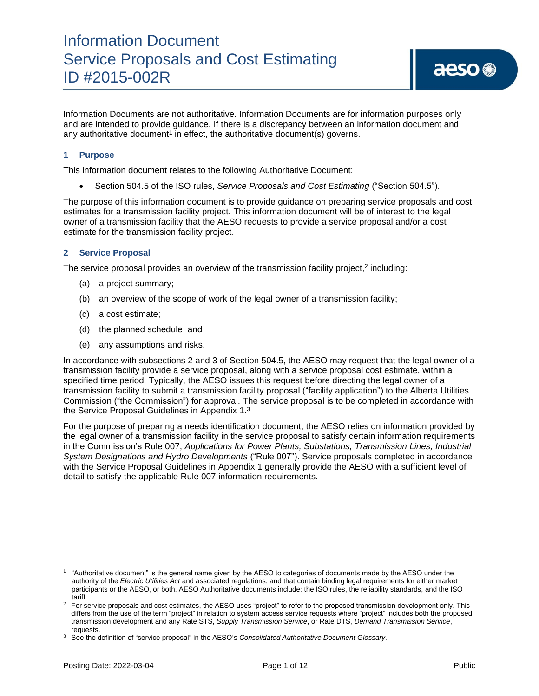Information Documents are not authoritative. Information Documents are for information purposes only and are intended to provide guidance. If there is a discrepancy between an information document and any authoritative document<sup>1</sup> in effect, the authoritative document(s) governs.

## **1 Purpose**

This information document relates to the following Authoritative Document:

• Section 504.5 of the ISO rules, *Service Proposals and Cost Estimating* ("Section 504.5").

The purpose of this information document is to provide guidance on preparing service proposals and cost estimates for a transmission facility project. This information document will be of interest to the legal owner of a transmission facility that the AESO requests to provide a service proposal and/or a cost estimate for the transmission facility project.

## **2 Service Proposal**

The service proposal provides an overview of the transmission facility project,<sup>2</sup> including:

- (a) a project summary;
- (b) an overview of the scope of work of the legal owner of a transmission facility;
- (c) a cost estimate;
- (d) the planned schedule; and
- (e) any assumptions and risks.

In accordance with subsections 2 and 3 of Section 504.5, the AESO may request that the legal owner of a transmission facility provide a service proposal, along with a service proposal cost estimate, within a specified time period. Typically, the AESO issues this request before directing the legal owner of a transmission facility to submit a transmission facility proposal ("facility application") to the Alberta Utilities Commission ("the Commission") for approval. The service proposal is to be completed in accordance with the Service Proposal Guidelines in Appendix 1.<sup>3</sup>

For the purpose of preparing a needs identification document, the AESO relies on information provided by the legal owner of a transmission facility in the service proposal to satisfy certain information requirements in the Commission's Rule 007, *Applications for Power Plants, Substations, Transmission Lines, Industrial System Designations and Hydro Developments* ("Rule 007"). Service proposals completed in accordance with the Service Proposal Guidelines in Appendix 1 generally provide the AESO with a sufficient level of detail to satisfy the applicable Rule 007 information requirements.

<sup>&</sup>lt;sup>1</sup> "Authoritative document" is the general name given by the AESO to categories of documents made by the AESO under the authority of the *Electric Utilities Act* and associated regulations, and that contain binding legal requirements for either market participants or the AESO, or both. AESO Authoritative documents include: the ISO rules, the reliability standards, and the ISO tariff.

<sup>&</sup>lt;sup>2</sup> For service proposals and cost estimates, the AESO uses "project" to refer to the proposed transmission development only. This differs from the use of the term "project" in relation to system access service requests where "project" includes both the proposed transmission development and any Rate STS, *Supply Transmission Service*, or Rate DTS, *Demand Transmission Service*, requests.

<sup>3</sup> See the definition of "service proposal" in the AESO's *Consolidated Authoritative Document Glossary*.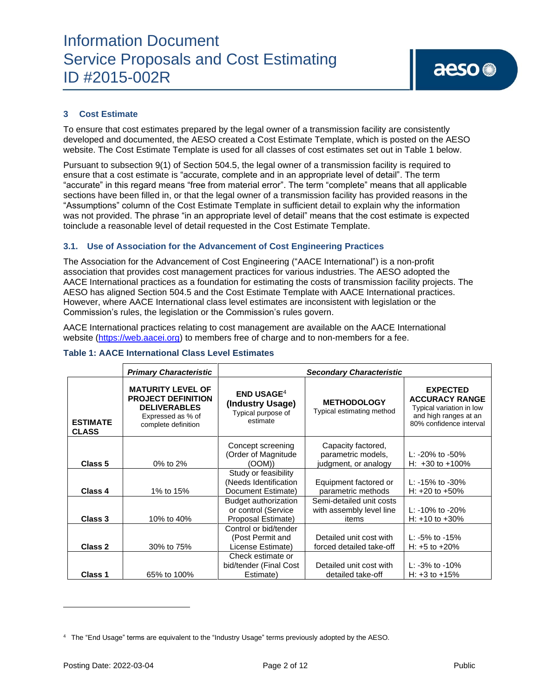# **3 Cost Estimate**

To ensure that cost estimates prepared by the legal owner of a transmission facility are consistently developed and documented, the AESO created a Cost Estimate Template, which is posted on the AESO website. The Cost Estimate Template is used for all classes of cost estimates set out in Table 1 below.

Pursuant to subsection 9(1) of Section 504.5, the legal owner of a transmission facility is required to ensure that a cost estimate is "accurate, complete and in an appropriate level of detail". The term "accurate" in this regard means "free from material error". The term "complete" means that all applicable sections have been filled in, or that the legal owner of a transmission facility has provided reasons in the "Assumptions" column of the Cost Estimate Template in sufficient detail to explain why the information was not provided. The phrase "in an appropriate level of detail" means that the cost estimate is expected toinclude a reasonable level of detail requested in the Cost Estimate Template.

## **3.1. Use of Association for the Advancement of Cost Engineering Practices**

The Association for the Advancement of Cost Engineering ("AACE International") is a non-profit association that provides cost management practices for various industries. The AESO adopted the AACE International practices as a foundation for estimating the costs of transmission facility projects. The AESO has aligned Section 504.5 and the Cost Estimate Template with AACE International practices. However, where AACE International class level estimates are inconsistent with legislation or the Commission's rules, the legislation or the Commission's rules govern.

AACE International practices relating to cost management are available on the AACE International website [\(https://web.aacei.org\)](https://web.aacei.org/) to members free of charge and to non-members for a fee.

|  |  |  | Table 1: AACE International Class Level Estimates |
|--|--|--|---------------------------------------------------|
|--|--|--|---------------------------------------------------|

|                                 | <b>Primary Characteristic</b>                                                                                            | <b>Secondary Characteristic</b>                                                |                                                                  |                                                                                                                          |
|---------------------------------|--------------------------------------------------------------------------------------------------------------------------|--------------------------------------------------------------------------------|------------------------------------------------------------------|--------------------------------------------------------------------------------------------------------------------------|
| <b>ESTIMATE</b><br><b>CLASS</b> | <b>MATURITY LEVEL OF</b><br><b>PROJECT DEFINITION</b><br><b>DELIVERABLES</b><br>Expressed as % of<br>complete definition | $END$ USAGE <sup>4</sup><br>(Industry Usage)<br>Typical purpose of<br>estimate | <b>METHODOLOGY</b><br>Typical estimating method                  | <b>EXPECTED</b><br><b>ACCURACY RANGE</b><br>Typical variation in low<br>and high ranges at an<br>80% confidence interval |
| Class 5                         | 0% to 2%                                                                                                                 | Concept screening<br>(Order of Magnitude<br>(OOM))                             | Capacity factored,<br>parametric models,<br>judgment, or analogy | L: $-20\%$ to $-50\%$<br>H: $+30$ to $+100\%$                                                                            |
| Class 4                         | 1% to 15%                                                                                                                | Study or feasibility<br>(Needs Identification<br>Document Estimate)            | Equipment factored or<br>parametric methods                      | L: $-15\%$ to $-30\%$<br>H: $+20$ to $+50\%$                                                                             |
| Class 3                         | 10% to 40%                                                                                                               | Budget authorization<br>or control (Service<br>Proposal Estimate)              | Semi-detailed unit costs<br>with assembly level line<br>items    | L: $-10\%$ to $-20\%$<br>H: $+10$ to $+30\%$                                                                             |
| Class 2                         | 30% to 75%                                                                                                               | Control or bid/tender<br>(Post Permit and<br>License Estimate)                 | Detailed unit cost with<br>forced detailed take-off              | L: $-5\%$ to $-15\%$<br>H: $+5$ to $+20%$                                                                                |
| Class 1                         | 65% to 100%                                                                                                              | Check estimate or<br>bid/tender (Final Cost<br>Estimate)                       | Detailed unit cost with<br>detailed take-off                     | L: $-3\%$ to $-10\%$<br>H: $+3$ to $+15%$                                                                                |

<sup>4</sup> The "End Usage" terms are equivalent to the "Industry Usage" terms previously adopted by the AESO.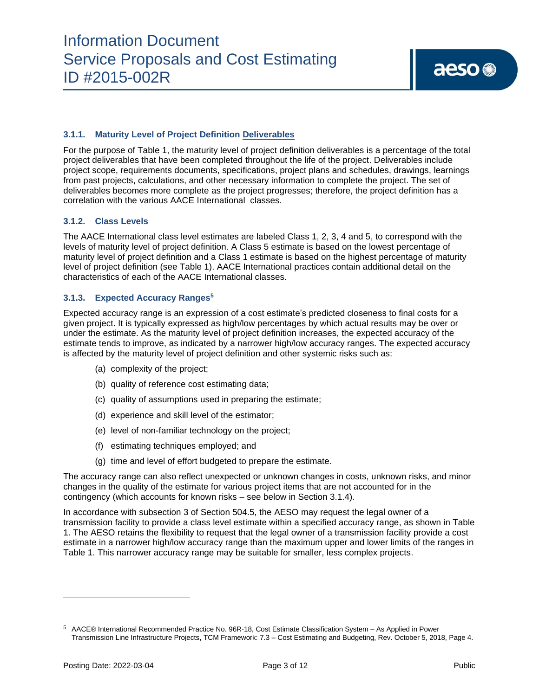# **3.1.1. Maturity Level of Project Definition Deliverables**

For the purpose of Table 1, the maturity level of project definition deliverables is a percentage of the total project deliverables that have been completed throughout the life of the project. Deliverables include project scope, requirements documents, specifications, project plans and schedules, drawings, learnings from past projects, calculations, and other necessary information to complete the project. The set of deliverables becomes more complete as the project progresses; therefore, the project definition has a correlation with the various AACE International classes.

### **3.1.2. Class Levels**

The AACE International class level estimates are labeled Class 1, 2, 3, 4 and 5, to correspond with the levels of maturity level of project definition. A Class 5 estimate is based on the lowest percentage of maturity level of project definition and a Class 1 estimate is based on the highest percentage of maturity level of project definition (see Table 1). AACE International practices contain additional detail on the characteristics of each of the AACE International classes.

### **3.1.3. Expected Accuracy Ranges 5**

Expected accuracy range is an expression of a cost estimate's predicted closeness to final costs for a given project. It is typically expressed as high/low percentages by which actual results may be over or under the estimate. As the maturity level of project definition increases, the expected accuracy of the estimate tends to improve, as indicated by a narrower high/low accuracy ranges. The expected accuracy is affected by the maturity level of project definition and other systemic risks such as:

- (a) complexity of the project;
- (b) quality of reference cost estimating data;
- (c) quality of assumptions used in preparing the estimate;
- (d) experience and skill level of the estimator;
- (e) level of non-familiar technology on the project;
- (f) estimating techniques employed; and
- (g) time and level of effort budgeted to prepare the estimate.

The accuracy range can also reflect unexpected or unknown changes in costs, unknown risks, and minor changes in the quality of the estimate for various project items that are not accounted for in the contingency (which accounts for known risks – see below in Section 3.1.4).

In accordance with subsection 3 of Section 504.5, the AESO may request the legal owner of a transmission facility to provide a class level estimate within a specified accuracy range, as shown in Table 1. The AESO retains the flexibility to request that the legal owner of a transmission facility provide a cost estimate in a narrower high/low accuracy range than the maximum upper and lower limits of the ranges in Table 1. This narrower accuracy range may be suitable for smaller, less complex projects.

<sup>5</sup> AACE® International Recommended Practice No. 96R‐18, Cost Estimate Classification System – As Applied in Power Transmission Line Infrastructure Projects, TCM Framework: 7.3 – Cost Estimating and Budgeting, Rev. October 5, 2018, Page 4.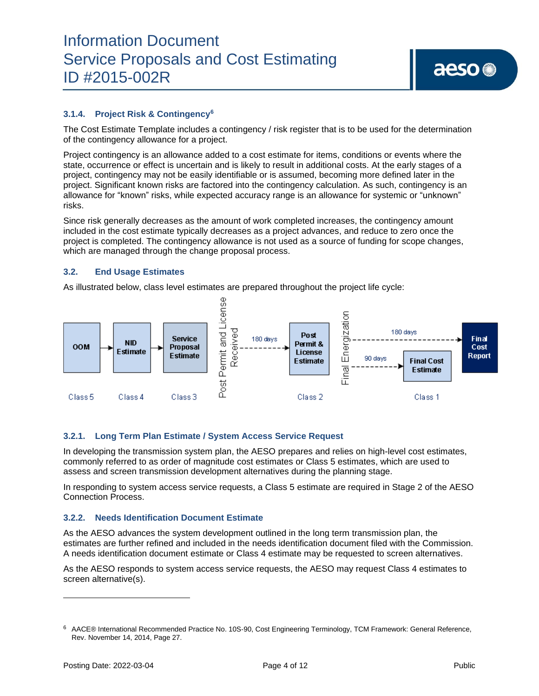# **3.1.4. Project Risk & Contingency<sup>6</sup>**

The Cost Estimate Template includes a contingency / risk register that is to be used for the determination of the contingency allowance for a project.

Project contingency is an allowance added to a cost estimate for items, conditions or events where the state, occurrence or effect is uncertain and is likely to result in additional costs. At the early stages of a project, contingency may not be easily identifiable or is assumed, becoming more defined later in the project. Significant known risks are factored into the contingency calculation. As such, contingency is an allowance for "known" risks, while expected accuracy range is an allowance for systemic or "unknown" risks.

Since risk generally decreases as the amount of work completed increases, the contingency amount included in the cost estimate typically decreases as a project advances, and reduce to zero once the project is completed. The contingency allowance is not used as a source of funding for scope changes, which are managed through the change proposal process.

### **3.2. End Usage Estimates**

As illustrated below, class level estimates are prepared throughout the project life cycle:



### **3.2.1. Long Term Plan Estimate / System Access Service Request**

In developing the transmission system plan, the AESO prepares and relies on high-level cost estimates, commonly referred to as order of magnitude cost estimates or Class 5 estimates, which are used to assess and screen transmission development alternatives during the planning stage.

In responding to system access service requests, a Class 5 estimate are required in Stage 2 of the AESO Connection Process.

### **3.2.2. Needs Identification Document Estimate**

As the AESO advances the system development outlined in the long term transmission plan, the estimates are further refined and included in the needs identification document filed with the Commission. A needs identification document estimate or Class 4 estimate may be requested to screen alternatives.

As the AESO responds to system access service requests, the AESO may request Class 4 estimates to screen alternative(s).

<sup>6</sup> AACE® International Recommended Practice No. 10S‐90, Cost Engineering Terminology, TCM Framework: General Reference, Rev. November 14, 2014, Page 27.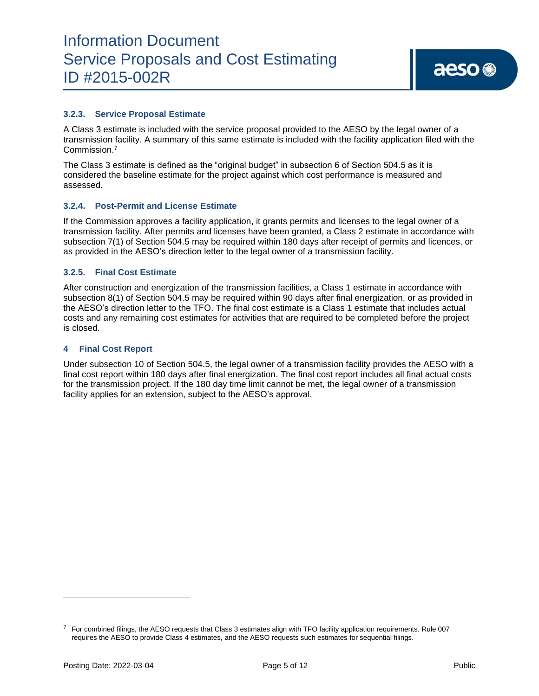### **3.2.3. Service Proposal Estimate**

A Class 3 estimate is included with the service proposal provided to the AESO by the legal owner of a transmission facility. A summary of this same estimate is included with the facility application filed with the Commission. 7

The Class 3 estimate is defined as the "original budget" in subsection 6 of Section 504.5 as it is considered the baseline estimate for the project against which cost performance is measured and assessed.

### **3.2.4. Post-Permit and License Estimate**

If the Commission approves a facility application, it grants permits and licenses to the legal owner of a transmission facility. After permits and licenses have been granted, a Class 2 estimate in accordance with subsection 7(1) of Section 504.5 may be required within 180 days after receipt of permits and licences, or as provided in the AESO's direction letter to the legal owner of a transmission facility.

### **3.2.5. Final Cost Estimate**

After construction and energization of the transmission facilities, a Class 1 estimate in accordance with subsection 8(1) of Section 504.5 may be required within 90 days after final energization, or as provided in the AESO's direction letter to the TFO. The final cost estimate is a Class 1 estimate that includes actual costs and any remaining cost estimates for activities that are required to be completed before the project is closed.

### **4 Final Cost Report**

Under subsection 10 of Section 504.5, the legal owner of a transmission facility provides the AESO with a final cost report within 180 days after final energization. The final cost report includes all final actual costs for the transmission project. If the 180 day time limit cannot be met, the legal owner of a transmission facility applies for an extension, subject to the AESO's approval.

 $7$  For combined filings, the AESO requests that Class 3 estimates align with TFO facility application requirements. Rule 007 requires the AESO to provide Class 4 estimates, and the AESO requests such estimates for sequential filings.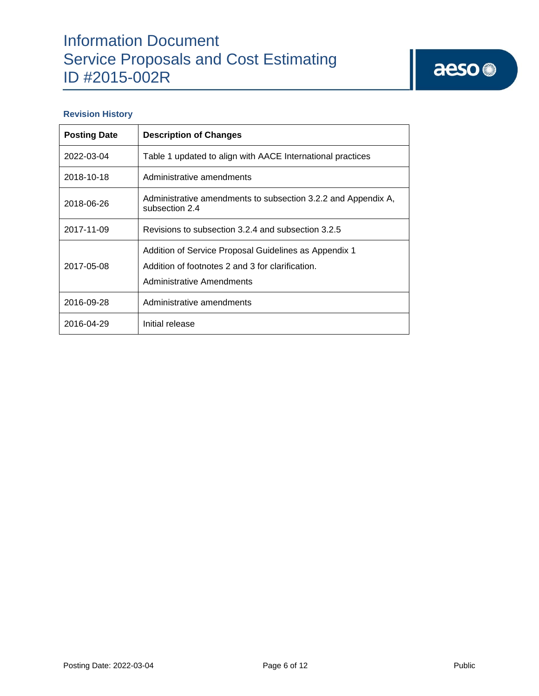# aeso<sup>®</sup>

## **Revision History**

| <b>Posting Date</b> | <b>Description of Changes</b>                                                                                                          |
|---------------------|----------------------------------------------------------------------------------------------------------------------------------------|
| 2022-03-04          | Table 1 updated to align with AACE International practices                                                                             |
| 2018-10-18          | Administrative amendments                                                                                                              |
| 2018-06-26          | Administrative amendments to subsection 3.2.2 and Appendix A,<br>subsection 2.4                                                        |
| 2017-11-09          | Revisions to subsection 3.2.4 and subsection 3.2.5                                                                                     |
| 2017-05-08          | Addition of Service Proposal Guidelines as Appendix 1<br>Addition of footnotes 2 and 3 for clarification.<br>Administrative Amendments |
| 2016-09-28          | Administrative amendments                                                                                                              |
| 2016-04-29          | Initial release                                                                                                                        |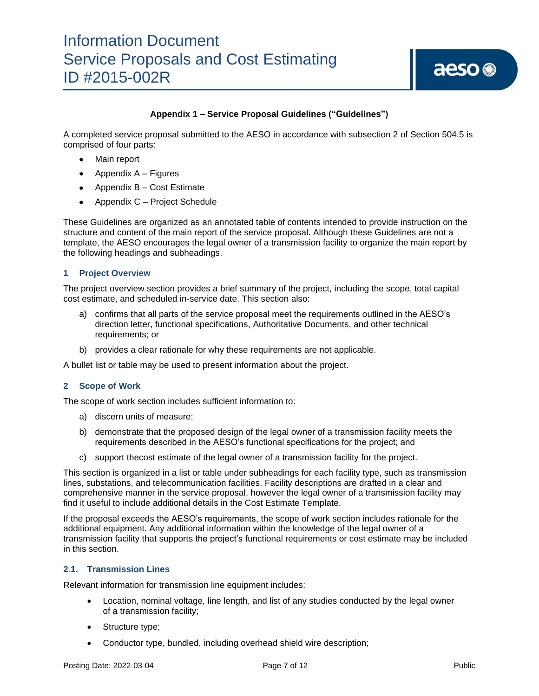# **Appendix 1 – Service Proposal Guidelines ("Guidelines")**

A completed service proposal submitted to the AESO in accordance with subsection 2 of Section 504.5 is comprised of four parts:

- Main report
- Appendix  $A -$  Figures
- Appendix B Cost Estimate
- Appendix C Project Schedule

These Guidelines are organized as an annotated table of contents intended to provide instruction on the structure and content of the main report of the service proposal. Although these Guidelines are not a template, the AESO encourages the legal owner of a transmission facility to organize the main report by the following headings and subheadings.

### **1 Project Overview**

The project overview section provides a brief summary of the project, including the scope, total capital cost estimate, and scheduled in-service date. This section also:

- a) confirms that all parts of the service proposal meet the requirements outlined in the AESO's direction letter, functional specifications, Authoritative Documents, and other technical requirements; or
- b) provides a clear rationale for why these requirements are not applicable.

A bullet list or table may be used to present information about the project.

### **2 Scope of Work**

The scope of work section includes sufficient information to:

- a) discern units of measure;
- b) demonstrate that the proposed design of the legal owner of a transmission facility meets the requirements described in the AESO's functional specifications for the project; and
- c) support thecost estimate of the legal owner of a transmission facility for the project.

This section is organized in a list or table under subheadings for each facility type, such as transmission lines, substations, and telecommunication facilities. Facility descriptions are drafted in a clear and comprehensive manner in the service proposal, however the legal owner of a transmission facility may find it useful to include additional details in the Cost Estimate Template.

If the proposal exceeds the AESO's requirements, the scope of work section includes rationale for the additional equipment. Any additional information within the knowledge of the legal owner of a transmission facility that supports the project's functional requirements or cost estimate may be included in this section.

### **2.1. Transmission Lines**

Relevant information for transmission line equipment includes:

- Location, nominal voltage, line length, and list of any studies conducted by the legal owner of a transmission facility;
- Structure type;
- Conductor type, bundled, including overhead shield wire description;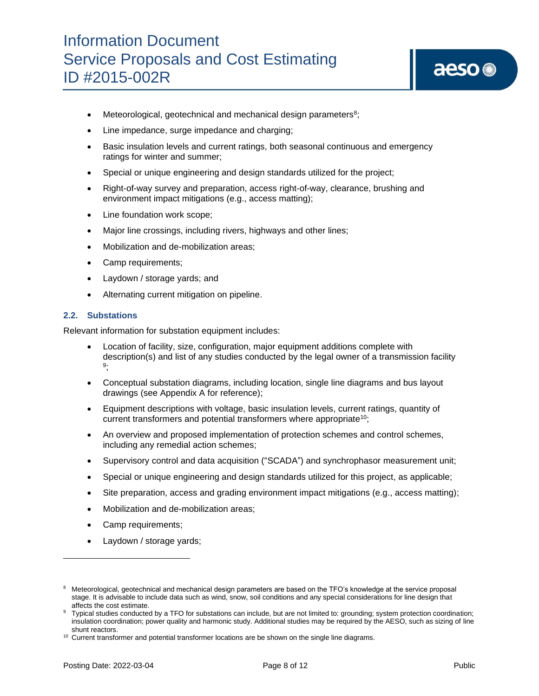- $\bullet$  Meteorological, geotechnical and mechanical design parameters<sup>8</sup>;
- Line impedance, surge impedance and charging;
- Basic insulation levels and current ratings, both seasonal continuous and emergency ratings for winter and summer;
- Special or unique engineering and design standards utilized for the project;
- Right-of-way survey and preparation, access right-of-way, clearance, brushing and environment impact mitigations (e.g., access matting);
- Line foundation work scope;
- Major line crossings, including rivers, highways and other lines;
- Mobilization and de-mobilization areas;
- Camp requirements;
- Laydown / storage yards; and
- Alternating current mitigation on pipeline.

### **2.2. Substations**

Relevant information for substation equipment includes:

- Location of facility, size, configuration, major equipment additions complete with description(s) and list of any studies conducted by the legal owner of a transmission facility 9 ;
- Conceptual substation diagrams, including location, single line diagrams and bus layout drawings (see Appendix A for reference);
- Equipment descriptions with voltage, basic insulation levels, current ratings, quantity of current transformers and potential transformers where appropriate<sup>10</sup>;
- An overview and proposed implementation of protection schemes and control schemes, including any remedial action schemes;
- Supervisory control and data acquisition ("SCADA") and synchrophasor measurement unit;
- Special or unique engineering and design standards utilized for this project, as applicable;
- Site preparation, access and grading environment impact mitigations (e.g., access matting);
- Mobilization and de-mobilization areas;
- Camp requirements;
- Laydown / storage yards;

<sup>8</sup> Meteorological, geotechnical and mechanical design parameters are based on the TFO's knowledge at the service proposal stage. It is advisable to include data such as wind, snow, soil conditions and any special considerations for line design that affects the cost estimate.

<sup>9</sup> Typical studies conducted by a TFO for substations can include, but are not limited to: grounding; system protection coordination; insulation coordination; power quality and harmonic study. Additional studies may be required by the AESO, such as sizing of line shunt reactors.

 $10$  Current transformer and potential transformer locations are be shown on the single line diagrams.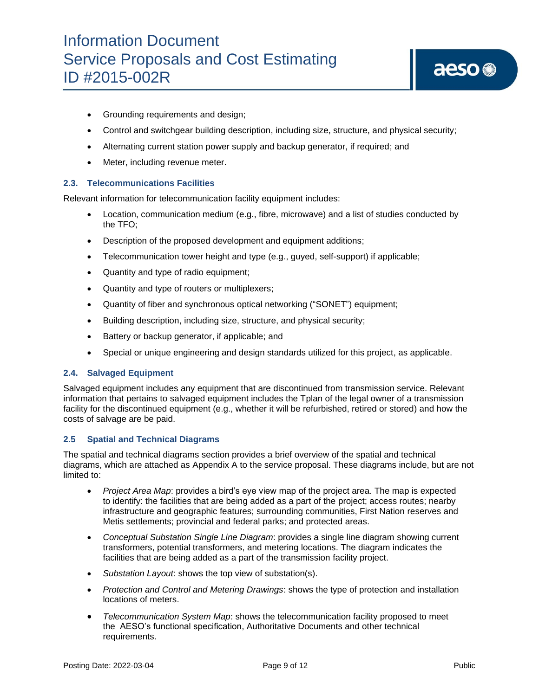# aeso<sup>®</sup>

- Grounding requirements and design;
- Control and switchgear building description, including size, structure, and physical security;
- Alternating current station power supply and backup generator, if required; and
- Meter, including revenue meter.

# **2.3. Telecommunications Facilities**

Relevant information for telecommunication facility equipment includes:

- Location, communication medium (e.g., fibre, microwave) and a list of studies conducted by the TFO;
- Description of the proposed development and equipment additions;
- Telecommunication tower height and type (e.g., guyed, self-support) if applicable;
- Quantity and type of radio equipment;
- Quantity and type of routers or multiplexers;
- Quantity of fiber and synchronous optical networking ("SONET") equipment;
- Building description, including size, structure, and physical security;
- Battery or backup generator, if applicable; and
- Special or unique engineering and design standards utilized for this project, as applicable.

### **2.4. Salvaged Equipment**

Salvaged equipment includes any equipment that are discontinued from transmission service. Relevant information that pertains to salvaged equipment includes the Tplan of the legal owner of a transmission facility for the discontinued equipment (e.g., whether it will be refurbished, retired or stored) and how the costs of salvage are be paid.

### **2.5 Spatial and Technical Diagrams**

The spatial and technical diagrams section provides a brief overview of the spatial and technical diagrams, which are attached as Appendix A to the service proposal. These diagrams include, but are not limited to:

- *Project Area Map*: provides a bird's eye view map of the project area. The map is expected to identify: the facilities that are being added as a part of the project; access routes; nearby infrastructure and geographic features; surrounding communities, First Nation reserves and Metis settlements; provincial and federal parks; and protected areas.
- *Conceptual Substation Single Line Diagram*: provides a single line diagram showing current transformers, potential transformers, and metering locations. The diagram indicates the facilities that are being added as a part of the transmission facility project.
- *Substation Layout*: shows the top view of substation(s).
- *Protection and Control and Metering Drawings*: shows the type of protection and installation locations of meters.
- *Telecommunication System Map*: shows the telecommunication facility proposed to meet the AESO's functional specification, Authoritative Documents and other technical requirements.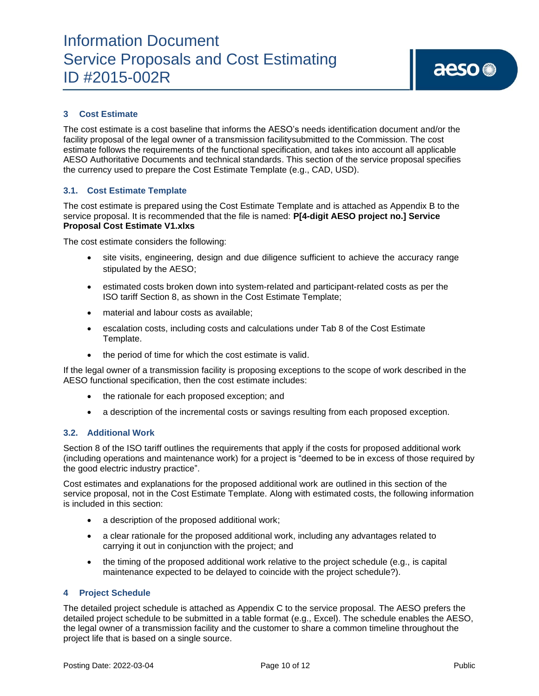# **3 Cost Estimate**

The cost estimate is a cost baseline that informs the AESO's needs identification document and/or the facility proposal of the legal owner of a transmission facilitysubmitted to the Commission. The cost estimate follows the requirements of the functional specification, and takes into account all applicable AESO Authoritative Documents and technical standards. This section of the service proposal specifies the currency used to prepare the Cost Estimate Template (e.g., CAD, USD).

### **3.1. Cost Estimate Template**

The cost estimate is prepared using the Cost Estimate Template and is attached as Appendix B to the service proposal. It is recommended that the file is named: **P[4-digit AESO project no.] Service Proposal Cost Estimate V1.xlxs**

The cost estimate considers the following:

- site visits, engineering, design and due diligence sufficient to achieve the accuracy range stipulated by the AESO;
- estimated costs broken down into system-related and participant-related costs as per the ISO tariff Section 8, as shown in the Cost Estimate Template;
- material and labour costs as available;
- escalation costs, including costs and calculations under Tab 8 of the Cost Estimate Template.
- the period of time for which the cost estimate is valid.

If the legal owner of a transmission facility is proposing exceptions to the scope of work described in the AESO functional specification, then the cost estimate includes:

- the rationale for each proposed exception; and
- a description of the incremental costs or savings resulting from each proposed exception.

### **3.2. Additional Work**

Section 8 of the ISO tariff outlines the requirements that apply if the costs for proposed additional work (including operations and maintenance work) for a project is "deemed to be in excess of those required by the good electric industry practice".

Cost estimates and explanations for the proposed additional work are outlined in this section of the service proposal, not in the Cost Estimate Template. Along with estimated costs, the following information is included in this section:

- a description of the proposed additional work;
- a clear rationale for the proposed additional work, including any advantages related to carrying it out in conjunction with the project; and
- the timing of the proposed additional work relative to the project schedule (e.g., is capital maintenance expected to be delayed to coincide with the project schedule?).

### **4 Project Schedule**

The detailed project schedule is attached as Appendix C to the service proposal. The AESO prefers the detailed project schedule to be submitted in a table format (e.g., Excel). The schedule enables the AESO, the legal owner of a transmission facility and the customer to share a common timeline throughout the project life that is based on a single source.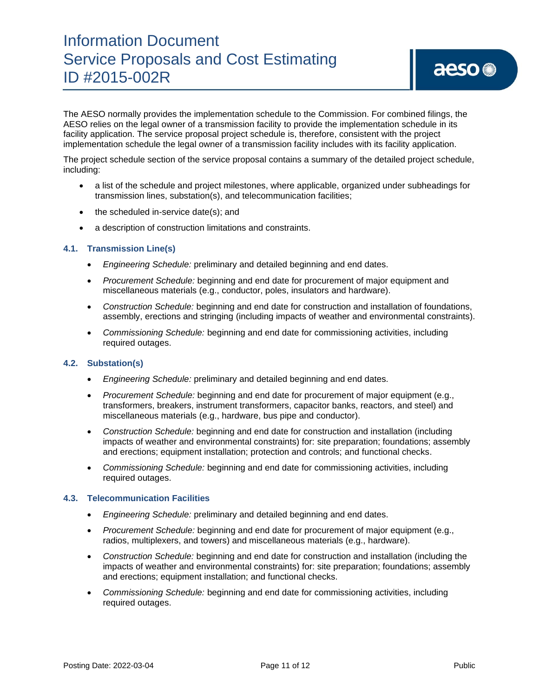The AESO normally provides the implementation schedule to the Commission. For combined filings, the AESO relies on the legal owner of a transmission facility to provide the implementation schedule in its facility application. The service proposal project schedule is, therefore, consistent with the project implementation schedule the legal owner of a transmission facility includes with its facility application.

The project schedule section of the service proposal contains a summary of the detailed project schedule, including:

- a list of the schedule and project milestones, where applicable, organized under subheadings for transmission lines, substation(s), and telecommunication facilities;
- the scheduled in-service date(s); and
- a description of construction limitations and constraints.

### **4.1. Transmission Line(s)**

- *Engineering Schedule:* preliminary and detailed beginning and end dates.
- *Procurement Schedule:* beginning and end date for procurement of major equipment and miscellaneous materials (e.g., conductor, poles, insulators and hardware).
- *Construction Schedule:* beginning and end date for construction and installation of foundations, assembly, erections and stringing (including impacts of weather and environmental constraints).
- *Commissioning Schedule:* beginning and end date for commissioning activities, including required outages.

### **4.2. Substation(s)**

- *Engineering Schedule:* preliminary and detailed beginning and end dates.
- *Procurement Schedule:* beginning and end date for procurement of major equipment (e.g., transformers, breakers, instrument transformers, capacitor banks, reactors, and steel) and miscellaneous materials (e.g., hardware, bus pipe and conductor).
- *Construction Schedule:* beginning and end date for construction and installation (including impacts of weather and environmental constraints) for: site preparation; foundations; assembly and erections; equipment installation; protection and controls; and functional checks.
- *Commissioning Schedule:* beginning and end date for commissioning activities, including required outages.

### **4.3. Telecommunication Facilities**

- *Engineering Schedule:* preliminary and detailed beginning and end dates.
- *Procurement Schedule:* beginning and end date for procurement of major equipment (e.g., radios, multiplexers, and towers) and miscellaneous materials (e.g., hardware).
- *Construction Schedule:* beginning and end date for construction and installation (including the impacts of weather and environmental constraints) for: site preparation; foundations; assembly and erections; equipment installation; and functional checks.
- *Commissioning Schedule:* beginning and end date for commissioning activities, including required outages.